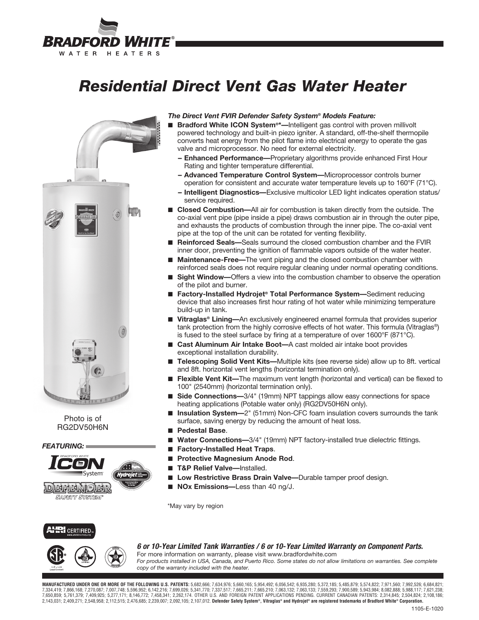# BRADFORD WHITE® WATER HEATERS

# *Residential Direct Vent Gas Water Heater*



Photo is of RG2DV50H6N

*FEATURING:*



## *The Direct Vent FVIR Defender Safety System® Models Feature:*

- **Bradford White ICON System<sup>®\*</sup>—Intelligent gas control with proven millivolt** powered technology and built-in piezo igniter. A standard, off-the-shelf thermopile converts heat energy from the pilot flame into electrical energy to operate the gas valve and microprocessor. No need for external electricity.
	- **-- Enhanced Performance—**Proprietary algorithms provide enhanced First Hour Rating and tighter temperature differential.
	- **-- Advanced Temperature Control System—**Microprocessor controls burner operation for consistent and accurate water temperature levels up to 160°F (71°C).
	- **-- Intelligent Diagnostics—**Exclusive multicolor LED light indicates operation status/ service required.
- **Closed Combustion**—All air for combustion is taken directly from the outside. The co-axial vent pipe (pipe inside a pipe) draws combustion air in through the outer pipe, and exhausts the products of combustion through the inner pipe. The co-axial vent pipe at the top of the unit can be rotated for venting flexibility.
- **Reinforced Seals**—Seals surround the closed combustion chamber and the FVIR inner door, preventing the ignition of flammable vapors outside of the water heater.
- **Maintenance-Free—**The vent piping and the closed combustion chamber with reinforced seals does not require regular cleaning under normal operating conditions.
- **Sight Window**—Offers a view into the combustion chamber to observe the operation of the pilot and burner.
- **Factory-Installed Hydrojet<sup>®</sup> Total Performance System—Sediment reducing** device that also increases first hour rating of hot water while minimizing temperature build-up in tank.
- Vitraglas<sup>®</sup> Lining—An exclusively engineered enamel formula that provides superior tank protection from the highly corrosive effects of hot water. This formula (Vitraglas®) is fused to the steel surface by firing at a temperature of over 1600°F (871°C).
- **Cast Aluminum Air Intake Boot—**A cast molded air intake boot provides exceptional installation durability.
- **Telescoping Solid Vent Kits—**Multiple kits (see reverse side) allow up to 8ft. vertical and 8ft. horizontal vent lengths (horizontal termination only).
- **Flexible Vent Kit**—The maximum vent length (horizontal and vertical) can be flexed to 100" (2540mm) (horizontal termination only).
- Side Connections-3/4" (19mm) NPT tappings allow easy connections for space heating applications (Potable water only) (RG2DV50H6N only).
- **Insulation System**—2" (51mm) Non-CFC foam insulation covers surrounds the tank surface, saving energy by reducing the amount of heat loss.
- **Pedestal Base**.
- Water Connections-3/4" (19mm) NPT factory-installed true dielectric fittings.
- **Factory-Installed Heat Traps.**
- **Protective Magnesium Anode Rod.**
- **T&P Relief Valve—Installed.**
- **Low Restrictive Brass Drain Valve—**Durable tamper proof design.
- **NOx Emissions**—Less than 40 ng/J.

\*May vary by region



## *6 or 10-Year Limited Tank Warranties / 6 or 10- Year Limited Warranty on Component Parts.*



# For more information on warranty, please visit www.bradfordwhite.com

*For products installed in USA, Canada, and Puerto Rico. Some states do not allow limitations on warranties. See complete copy of the warranty included with the heater.*

**MANUFACTURED UNDER ONE OR MORE OF THE FOLLOWING U.S. PATENTS:** 5,682,666; 7,634,976; 5,660,165; 5,954,492; 6,056,542; 6,935,280; 5,372,185; 5,485,879; 5,574,822; 7,971,560; 7,992,526; 6,684,821; 7,334,419; 7,866,168; 7,270,087; 7,007,748; 5,596,952; 6,142,216; 7,699,026; 5,341,770; 7,337,517; 7,665,211; 7,665,210; 7,063,132; 7,063,133; 7,559,293; 7,900,589; 5,943,984; 8,082,888; 5,988,117; 7,621,238; 7,650,859; 5,761,379; 7,409,925; 5,277,171; 8,146,772; 7,458,341; 2,262,174. OTHER U.S. AND FOREIGN PATENT APPLICATIONS PENDING. CURRENT CANADIAN PATENTS: 2,314,845; 2,504,824; 2,108,186; 2,143,031; 2,409,271; 2,548,958; 2,112,515; 2,476,685; 2,239,007; 2,092,105; 2,107,012. **Defender Safety System®, Vitraglas® and Hydrojet® are registered trademarks of Bradford White® Corporation.**